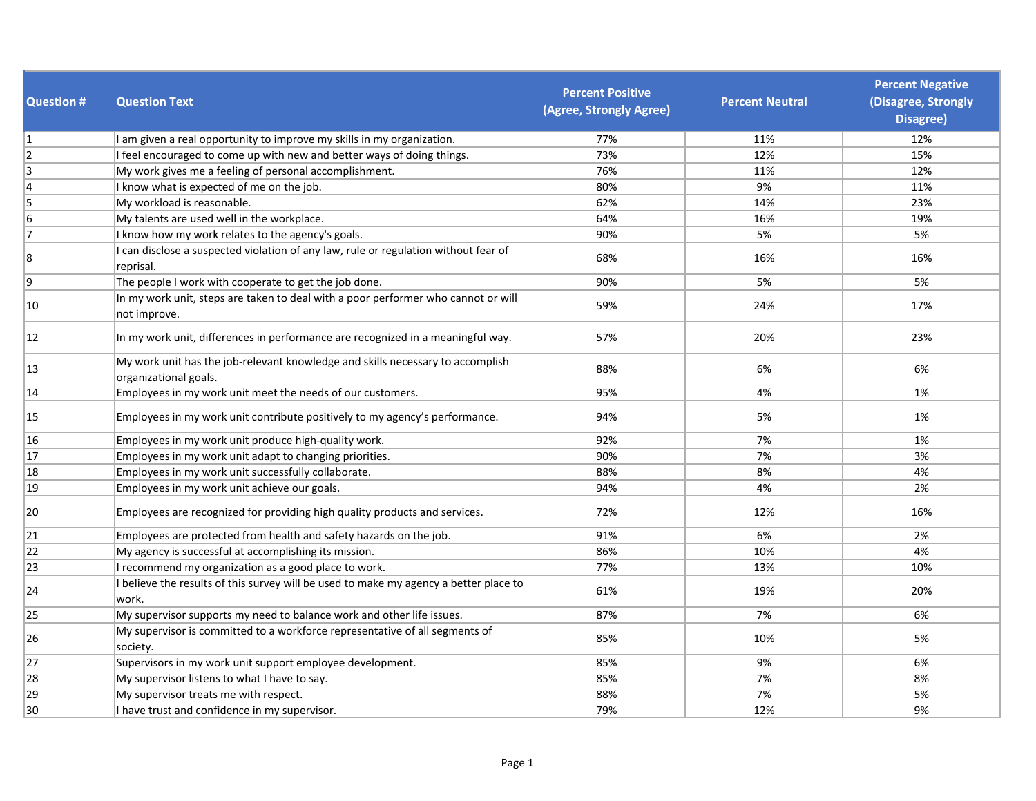| <b>Question #</b> | <b>Question Text</b>                                                                                    | <b>Percent Positive</b><br>(Agree, Strongly Agree) | <b>Percent Neutral</b> | <b>Percent Negative</b><br>(Disagree, Strongly<br>Disagree) |
|-------------------|---------------------------------------------------------------------------------------------------------|----------------------------------------------------|------------------------|-------------------------------------------------------------|
| 11                | I am given a real opportunity to improve my skills in my organization.                                  | 77%                                                | 11%                    | 12%                                                         |
| 2                 | I feel encouraged to come up with new and better ways of doing things.                                  | 73%                                                | 12%                    | 15%                                                         |
| 3                 | My work gives me a feeling of personal accomplishment.                                                  | 76%                                                | 11%                    | 12%                                                         |
| 4                 | I know what is expected of me on the job.                                                               | 80%                                                | 9%                     | 11%                                                         |
| 5                 | My workload is reasonable.                                                                              | 62%                                                | 14%                    | 23%                                                         |
| 6                 | My talents are used well in the workplace.                                                              | 64%                                                | 16%                    | 19%                                                         |
| 7                 | I know how my work relates to the agency's goals.                                                       | 90%                                                | 5%                     | 5%                                                          |
| 8                 | I can disclose a suspected violation of any law, rule or regulation without fear of<br>reprisal.        | 68%                                                | 16%                    | 16%                                                         |
| 9                 | The people I work with cooperate to get the job done.                                                   | 90%                                                | 5%                     | 5%                                                          |
| 10                | In my work unit, steps are taken to deal with a poor performer who cannot or will<br>not improve.       | 59%                                                | 24%                    | 17%                                                         |
| 12                | In my work unit, differences in performance are recognized in a meaningful way.                         | 57%                                                | 20%                    | 23%                                                         |
| 13                | My work unit has the job-relevant knowledge and skills necessary to accomplish<br>organizational goals. | 88%                                                | 6%                     | 6%                                                          |
| 14                | Employees in my work unit meet the needs of our customers.                                              | 95%                                                | 4%                     | 1%                                                          |
| 15                | Employees in my work unit contribute positively to my agency's performance.                             | 94%                                                | 5%                     | 1%                                                          |
| 16                | Employees in my work unit produce high-quality work.                                                    | 92%                                                | 7%                     | 1%                                                          |
| 17                | Employees in my work unit adapt to changing priorities.                                                 | 90%                                                | 7%                     | 3%                                                          |
| 18                | Employees in my work unit successfully collaborate.                                                     | 88%                                                | 8%                     | 4%                                                          |
| 19                | Employees in my work unit achieve our goals.                                                            | 94%                                                | 4%                     | 2%                                                          |
| 20                | Employees are recognized for providing high quality products and services.                              | 72%                                                | 12%                    | 16%                                                         |
| 21                | Employees are protected from health and safety hazards on the job.                                      | 91%                                                | 6%                     | 2%                                                          |
| 22                | My agency is successful at accomplishing its mission.                                                   | 86%                                                | 10%                    | 4%                                                          |
| 23                | I recommend my organization as a good place to work.                                                    | 77%                                                | 13%                    | 10%                                                         |
| 24                | I believe the results of this survey will be used to make my agency a better place to<br>work.          | 61%                                                | 19%                    | 20%                                                         |
| 25                | My supervisor supports my need to balance work and other life issues.                                   | 87%                                                | 7%                     | 6%                                                          |
| 26                | My supervisor is committed to a workforce representative of all segments of<br>society.                 | 85%                                                | 10%                    | 5%                                                          |
| 27                | Supervisors in my work unit support employee development.                                               | 85%                                                | 9%                     | 6%                                                          |
| 28                | My supervisor listens to what I have to say.                                                            | 85%                                                | 7%                     | 8%                                                          |
| 29                | My supervisor treats me with respect.                                                                   | 88%                                                | 7%                     | 5%                                                          |
| 30                | I have trust and confidence in my supervisor.                                                           | 79%                                                | 12%                    | 9%                                                          |